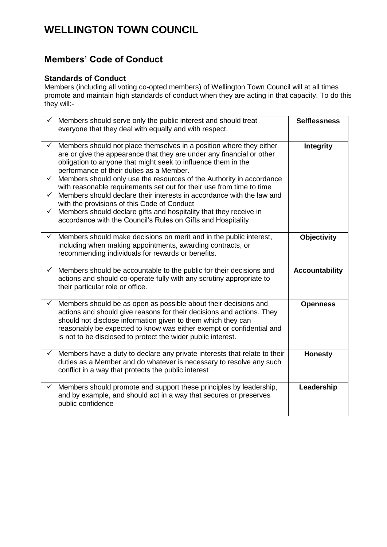# **WELLINGTON TOWN COUNCIL**

## **Members' Code of Conduct**

### **Standards of Conduct**

Members (including all voting co-opted members) of Wellington Town Council will at all times promote and maintain high standards of conduct when they are acting in that capacity. To do this they will:-

|                                        | Members should serve only the public interest and should treat<br>everyone that they deal with equally and with respect.                                                                                                                                                                                                                                                                                                                                                                                                                                                                                                                                               | <b>Selflessness</b>   |
|----------------------------------------|------------------------------------------------------------------------------------------------------------------------------------------------------------------------------------------------------------------------------------------------------------------------------------------------------------------------------------------------------------------------------------------------------------------------------------------------------------------------------------------------------------------------------------------------------------------------------------------------------------------------------------------------------------------------|-----------------------|
| $\checkmark$<br>$\checkmark$<br>✓<br>✓ | Members should not place themselves in a position where they either<br>are or give the appearance that they are under any financial or other<br>obligation to anyone that might seek to influence them in the<br>performance of their duties as a Member.<br>Members should only use the resources of the Authority in accordance<br>with reasonable requirements set out for their use from time to time<br>Members should declare their interests in accordance with the law and<br>with the provisions of this Code of Conduct<br>Members should declare gifts and hospitality that they receive in<br>accordance with the Council's Rules on Gifts and Hospitality | <b>Integrity</b>      |
| ✓                                      | Members should make decisions on merit and in the public interest,<br>including when making appointments, awarding contracts, or<br>recommending individuals for rewards or benefits.                                                                                                                                                                                                                                                                                                                                                                                                                                                                                  | <b>Objectivity</b>    |
| ✓                                      | Members should be accountable to the public for their decisions and                                                                                                                                                                                                                                                                                                                                                                                                                                                                                                                                                                                                    | <b>Accountability</b> |
|                                        | actions and should co-operate fully with any scrutiny appropriate to<br>their particular role or office.                                                                                                                                                                                                                                                                                                                                                                                                                                                                                                                                                               |                       |
| ✓                                      | Members should be as open as possible about their decisions and<br>actions and should give reasons for their decisions and actions. They<br>should not disclose information given to them which they can<br>reasonably be expected to know was either exempt or confidential and<br>is not to be disclosed to protect the wider public interest.                                                                                                                                                                                                                                                                                                                       | <b>Openness</b>       |
| ✓                                      | Members have a duty to declare any private interests that relate to their<br>duties as a Member and do whatever is necessary to resolve any such<br>conflict in a way that protects the public interest                                                                                                                                                                                                                                                                                                                                                                                                                                                                | <b>Honesty</b>        |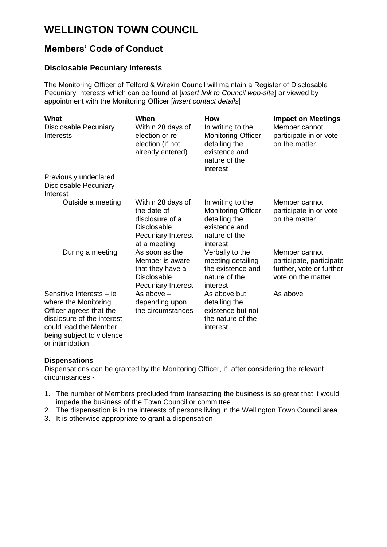# **WELLINGTON TOWN COUNCIL**

## **Members' Code of Conduct**

### **Disclosable Pecuniary Interests**

The Monitoring Officer of Telford & Wrekin Council will maintain a Register of Disclosable Pecuniary Interests which can be found at [*insert link to Council web-site*] or viewed by appointment with the Monitoring Officer [*insert contact details*]

| <b>What</b>                                                                                                                                                                        | When                                                                                                                   | How                                                                                                           | <b>Impact on Meetings</b>                                                                   |
|------------------------------------------------------------------------------------------------------------------------------------------------------------------------------------|------------------------------------------------------------------------------------------------------------------------|---------------------------------------------------------------------------------------------------------------|---------------------------------------------------------------------------------------------|
| <b>Disclosable Pecuniary</b><br><b>Interests</b>                                                                                                                                   | Within 28 days of<br>election or re-<br>election (if not<br>already entered)                                           | In writing to the<br><b>Monitoring Officer</b><br>detailing the<br>existence and<br>nature of the<br>interest | Member cannot<br>participate in or vote<br>on the matter                                    |
| Previously undeclared<br><b>Disclosable Pecuniary</b><br>Interest                                                                                                                  |                                                                                                                        |                                                                                                               |                                                                                             |
| Outside a meeting                                                                                                                                                                  | Within 28 days of<br>the date of<br>disclosure of a<br><b>Disclosable</b><br><b>Pecuniary Interest</b><br>at a meeting | In writing to the<br><b>Monitoring Officer</b><br>detailing the<br>existence and<br>nature of the<br>interest | Member cannot<br>participate in or vote<br>on the matter                                    |
| During a meeting                                                                                                                                                                   | As soon as the<br>Member is aware<br>that they have a<br><b>Disclosable</b><br>Pecuniary Interest                      | Verbally to the<br>meeting detailing<br>the existence and<br>nature of the<br>interest                        | Member cannot<br>participate, participate<br>further, vote or further<br>vote on the matter |
| Sensitive Interests - ie<br>where the Monitoring<br>Officer agrees that the<br>disclosure of the interest<br>could lead the Member<br>being subject to violence<br>or intimidation | As above $-$<br>depending upon<br>the circumstances                                                                    | As above but<br>detailing the<br>existence but not<br>the nature of the<br>interest                           | As above                                                                                    |

#### **Dispensations**

Dispensations can be granted by the Monitoring Officer, if, after considering the relevant circumstances:-

- 1. The number of Members precluded from transacting the business is so great that it would impede the business of the Town Council or committee
- 2. The dispensation is in the interests of persons living in the Wellington Town Council area
- 3. It is otherwise appropriate to grant a dispensation